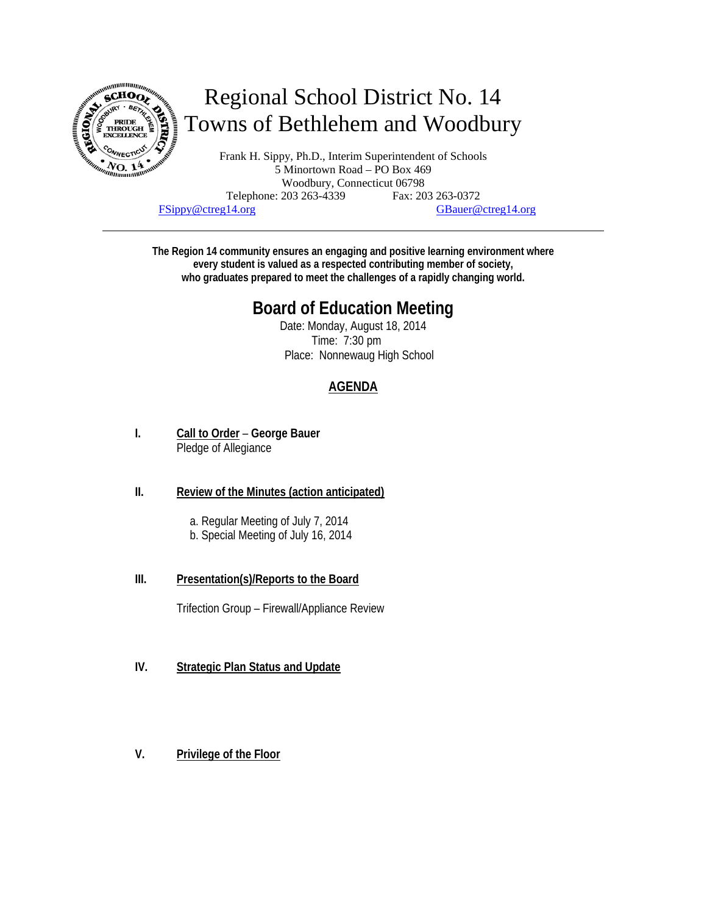

# Regional School District No. 14 Towns of Bethlehem and Woodbury

Frank H. Sippy, Ph.D., Interim Superintendent of Schools 5 Minortown Road – PO Box 469 Woodbury, Connecticut 06798 Telephone: 203 263-4339 Fax: 203 263-0372 FSippy@ctreg14.org GBauer@ctreg14.org

**The Region 14 community ensures an engaging and positive learning environment where every student is valued as a respected contributing member of society, who graduates prepared to meet the challenges of a rapidly changing world.** 

## **Board of Education Meeting**

Date: Monday, August 18, 2014 Time: 7:30 pm Place: Nonnewaug High School

### **AGENDA**

**I. Call to Order** – **George Bauer** Pledge of Allegiance

#### **II. Review of the Minutes (action anticipated)**

- a. Regular Meeting of July 7, 2014
- b. Special Meeting of July 16, 2014
- **III. Presentation(s)/Reports to the Board**

Trifection Group – Firewall/Appliance Review

- **IV. Strategic Plan Status and Update**
- **V. Privilege of the Floor**